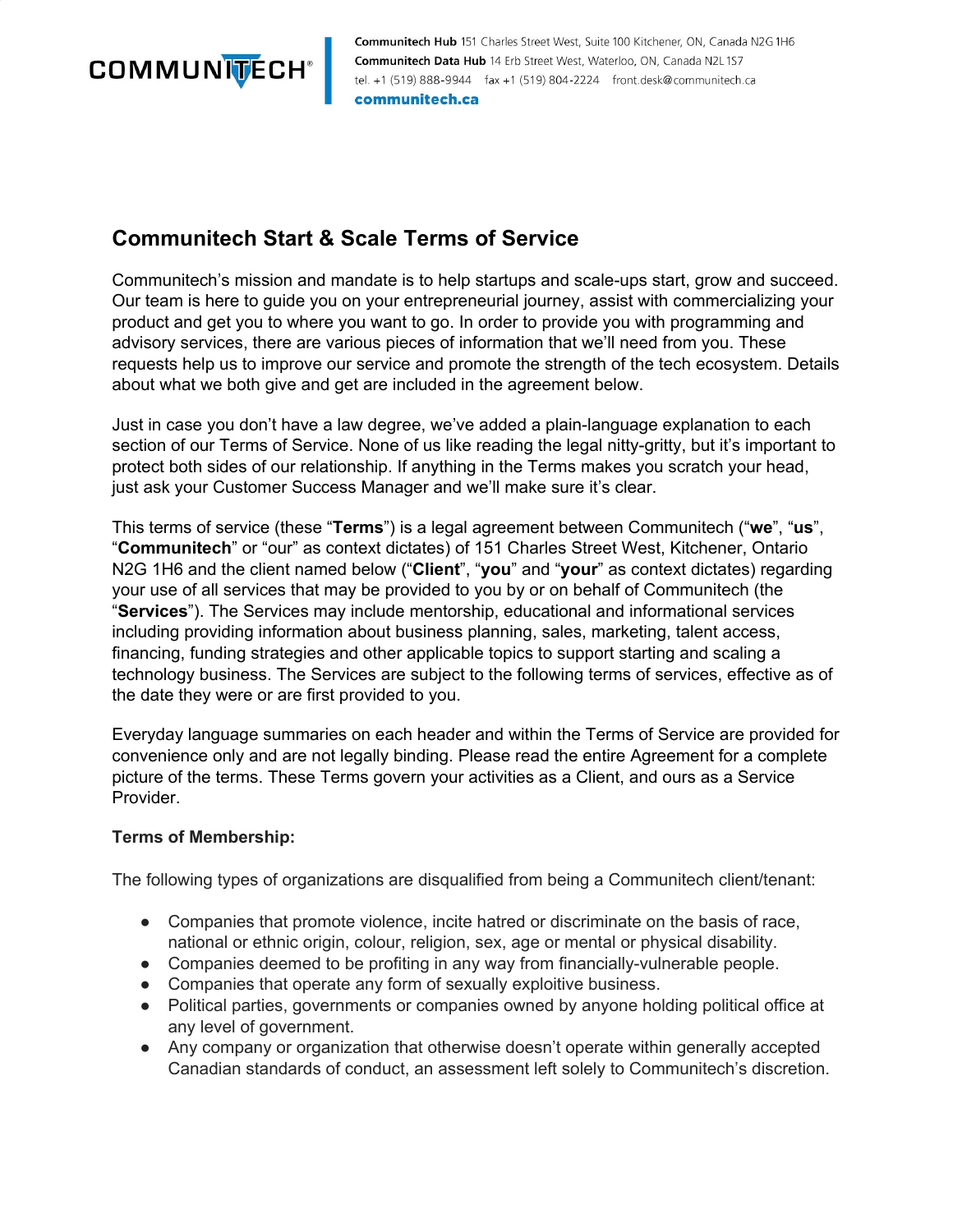

Communitech Hub 151 Charles Street West, Suite 100 Kitchener, ON, Canada N2G 1H6 Communitech Data Hub 14 Erb Street West, Waterloo, ON, Canada N2L1S7 tel. +1 (519) 888-9944 fax +1 (519) 804-2224 front.desk@communitech.ca communitech.ca

## **Communitech Start & Scale Terms of Service**

Communitech's mission and mandate is to help startups and scale-ups start, grow and succeed. Our team is here to guide you on your entrepreneurial journey, assist with commercializing your product and get you to where you want to go. In order to provide you with programming and advisory services, there are various pieces of information that we'll need from you. These requests help us to improve our service and promote the strength of the tech ecosystem. Details about what we both give and get are included in the agreement below.

Just in case you don't have a law degree, we've added a plain-language explanation to each section of our Terms of Service. None of us like reading the legal nitty-gritty, but it's important to protect both sides of our relationship. If anything in the Terms makes you scratch your head, just ask your Customer Success Manager and we'll make sure it's clear.

This terms of service (these "**Terms**") is a legal agreement between Communitech ("**we**", "**us**", "**Communitech**" or "our" as context dictates) of 151 Charles Street West, Kitchener, Ontario N2G 1H6 and the client named below ("**Client**", "**you**" and "**your**" as context dictates) regarding your use of all services that may be provided to you by or on behalf of Communitech (the "**Services**"). The Services may include mentorship, educational and informational services including providing information about business planning, sales, marketing, talent access, financing, funding strategies and other applicable topics to support starting and scaling a technology business. The Services are subject to the following terms of services, effective as of the date they were or are first provided to you.

Everyday language summaries on each header and within the Terms of Service are provided for convenience only and are not legally binding. Please read the entire Agreement for a complete picture of the terms. These Terms govern your activities as a Client, and ours as a Service Provider.

#### **Terms of Membership:**

The following types of organizations are disqualified from being a Communitech client/tenant:

- Companies that promote violence, incite hatred or discriminate on the basis of race, national or ethnic origin, colour, religion, sex, age or mental or physical disability.
- Companies deemed to be profiting in any way from financially-vulnerable people.
- Companies that operate any form of sexually exploitive business.
- Political parties, governments or companies owned by anyone holding political office at any level of government.
- Any company or organization that otherwise doesn't operate within generally accepted Canadian standards of conduct, an assessment left solely to Communitech's discretion.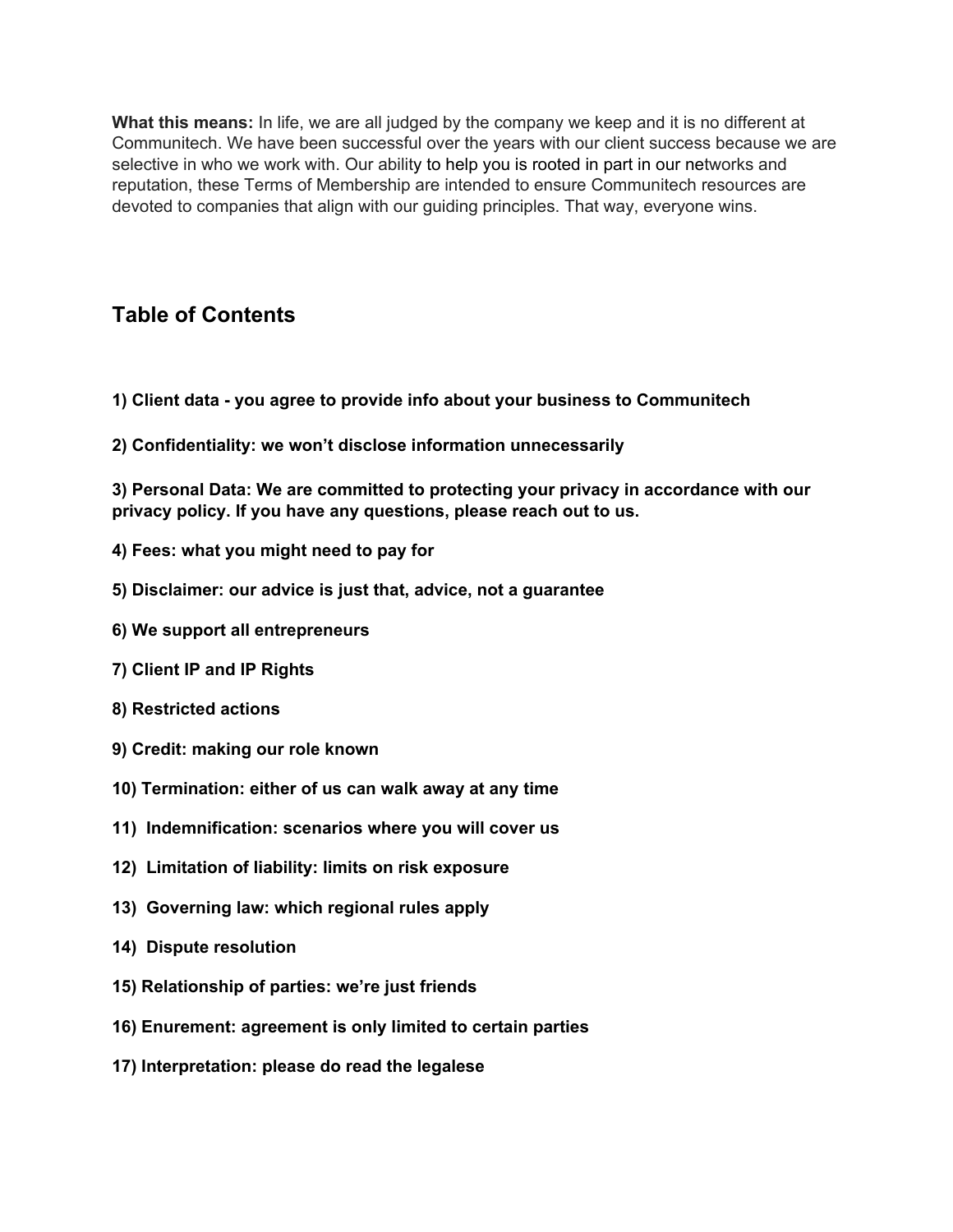**What this means:** In life, we are all judged by the company we keep and it is no different at Communitech. We have been successful over the years with our client success because we are selective in who we work with. Our ability to help you is rooted in part in our networks and reputation, these Terms of Membership are intended to ensure Communitech resources are devoted to companies that align with our guiding principles. That way, everyone wins.

## **Table of Contents**

- **1) Client data - you agree to provide info about your business to [Communitech](#page-2-0)**
- **2) [Confidentiality:](#page-2-0) we won't disclose information unnecessarily**

**3) Personal Data: We are committed to protecting your privacy in [accordance](#page-3-0) with our privacy policy. If you have any questions, please reach out to us.**

- **4) Fees: what you [might](#page-4-0) need to pay for**
- **5) [Disclaimer:](#page-4-0) our advice is just that, advice, not a guarantee**
- **6) We support all [entrepreneurs](#page-5-0)**
- **7) Client IP and IP [Rights](#page-5-0)**
- **8) [Restricted](#page-5-0) actions**
- **9) Credit: [making](#page-6-0) our role known**
- **10) [Termination:](#page-6-0) either of us can walk away at any time**
- **11) [Indemnification:](#page-7-0) scenarios where you will cover us**
- **12) [Limitation](#page-7-0) of liability: limits on risk exposure**
- **13) [Governing](#page-8-0) law: which regional rules apply**
- **14) Dispute [resolution](#page-8-0)**
- **15) [Relationship](#page-8-0) of parties: we're just friends**
- **16) [Enurement:](#page-9-0) agreement is only limited to certain parties**
- **17) [Interpretation:](#page-9-0) please do read the legalese**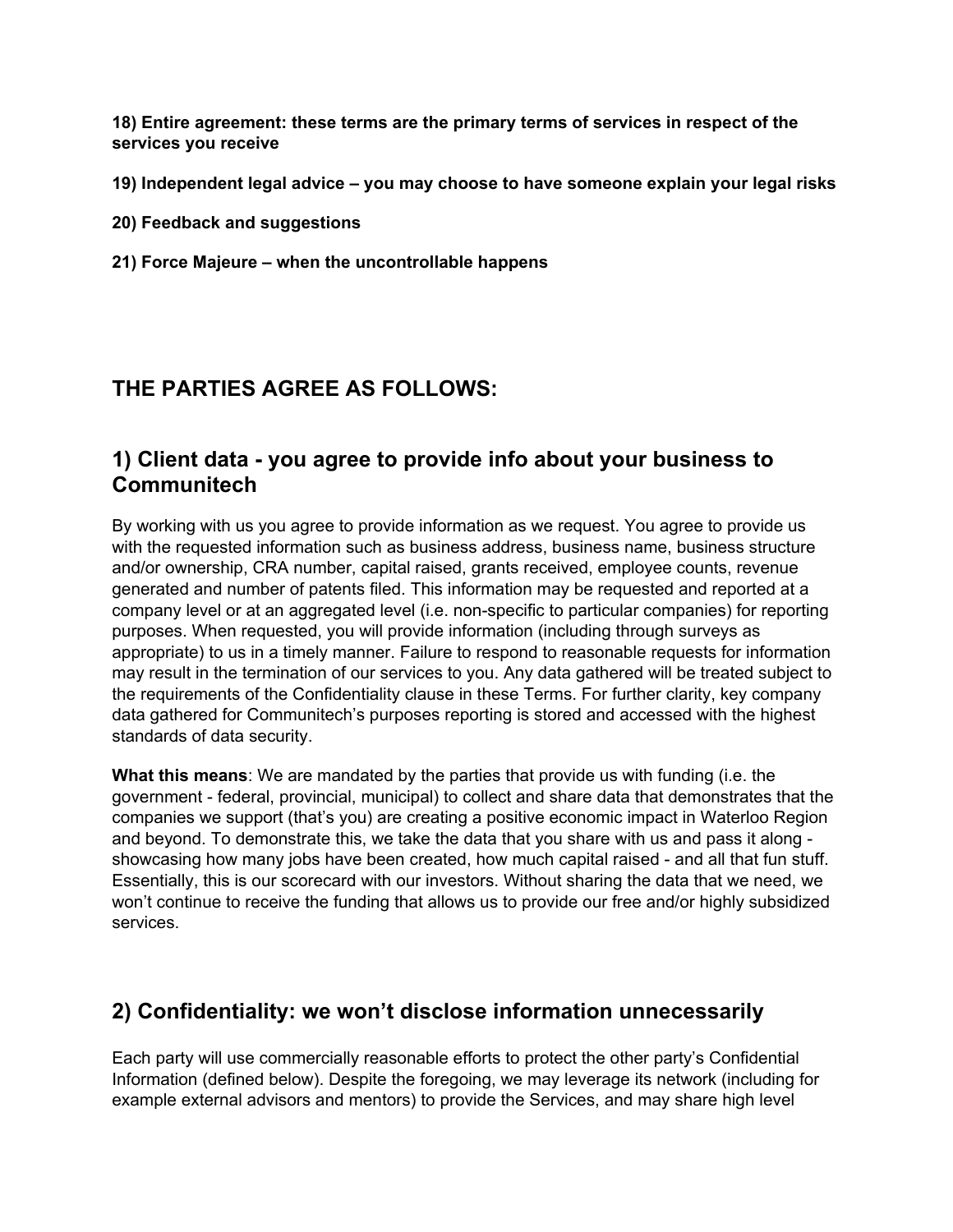<span id="page-2-0"></span>**18) Entire [agreement:](#page-9-0) these terms are the primary terms of services in respect of the services you receive**

**19) [Independent](#page-10-0) legal advice – you may choose to have someone explain your legal risks**

- **20) Feedback and [suggestions](#page-10-0)**
- **21) Force Majeure – when the [uncontrollable](#page-10-0) happens**

# **THE PARTIES AGREE AS FOLLOWS:**

#### **1) Client data - you agree to provide info about your business to Communitech**

By working with us you agree to provide information as we request. You agree to provide us with the requested information such as business address, business name, business structure and/or ownership, CRA number, capital raised, grants received, employee counts, revenue generated and number of patents filed. This information may be requested and reported at a company level or at an aggregated level (i.e. non-specific to particular companies) for reporting purposes. When requested, you will provide information (including through surveys as appropriate) to us in a timely manner. Failure to respond to reasonable requests for information may result in the termination of our services to you. Any data gathered will be treated subject to the requirements of the Confidentiality clause in these Terms. For further clarity, key company data gathered for Communitech's purposes reporting is stored and accessed with the highest standards of data security.

**What this means**: We are mandated by the parties that provide us with funding (i.e. the government - federal, provincial, municipal) to collect and share data that demonstrates that the companies we support (that's you) are creating a positive economic impact in Waterloo Region and beyond. To demonstrate this, we take the data that you share with us and pass it along showcasing how many jobs have been created, how much capital raised - and all that fun stuff. Essentially, this is our scorecard with our investors. Without sharing the data that we need, we won't continue to receive the funding that allows us to provide our free and/or highly subsidized services.

## **2) Confidentiality: we won't disclose information unnecessarily**

Each party will use commercially reasonable efforts to protect the other party's Confidential Information (defined below). Despite the foregoing, we may leverage its network (including for example external advisors and mentors) to provide the Services, and may share high level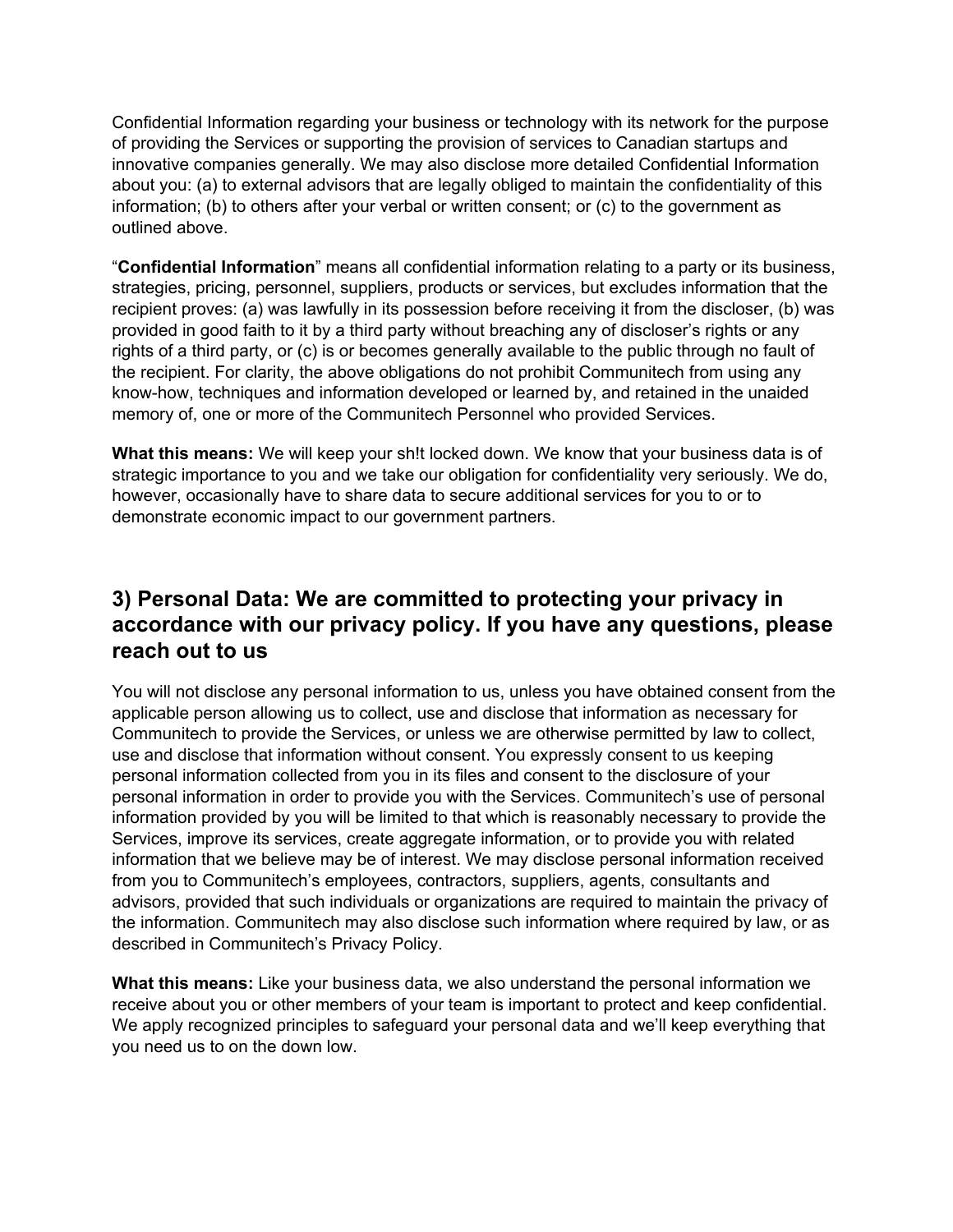<span id="page-3-0"></span>Confidential Information regarding your business or technology with its network for the purpose of providing the Services or supporting the provision of services to Canadian startups and innovative companies generally. We may also disclose more detailed Confidential Information about you: (a) to external advisors that are legally obliged to maintain the confidentiality of this information; (b) to others after your verbal or written consent; or (c) to the government as outlined above.

"**Confidential Information**" means all confidential information relating to a party or its business, strategies, pricing, personnel, suppliers, products or services, but excludes information that the recipient proves: (a) was lawfully in its possession before receiving it from the discloser, (b) was provided in good faith to it by a third party without breaching any of discloser's rights or any rights of a third party, or (c) is or becomes generally available to the public through no fault of the recipient. For clarity, the above obligations do not prohibit Communitech from using any know-how, techniques and information developed or learned by, and retained in the unaided memory of, one or more of the Communitech Personnel who provided Services.

**What this means:** We will keep your sh!t locked down. We know that your business data is of strategic importance to you and we take our obligation for confidentiality very seriously. We do, however, occasionally have to share data to secure additional services for you to or to demonstrate economic impact to our government partners.

#### **3) Personal Data: We are committed to protecting your privacy in accordance with our privacy policy. If you have any questions, please reach out to us**

You will not disclose any personal information to us, unless you have obtained consent from the applicable person allowing us to collect, use and disclose that information as necessary for Communitech to provide the Services, or unless we are otherwise permitted by law to collect, use and disclose that information without consent. You expressly consent to us keeping personal information collected from you in its files and consent to the disclosure of your personal information in order to provide you with the Services. Communitech's use of personal information provided by you will be limited to that which is reasonably necessary to provide the Services, improve its services, create aggregate information, or to provide you with related information that we believe may be of interest. We may disclose personal information received from you to Communitech's employees, contractors, suppliers, agents, consultants and advisors, provided that such individuals or organizations are required to maintain the privacy of the information. Communitech may also disclose such information where required by law, or as described in Communitech's Privacy Policy.

**What this means:** Like your business data, we also understand the personal information we receive about you or other members of your team is important to protect and keep confidential. We apply recognized principles to safeguard your personal data and we'll keep everything that you need us to on the down low.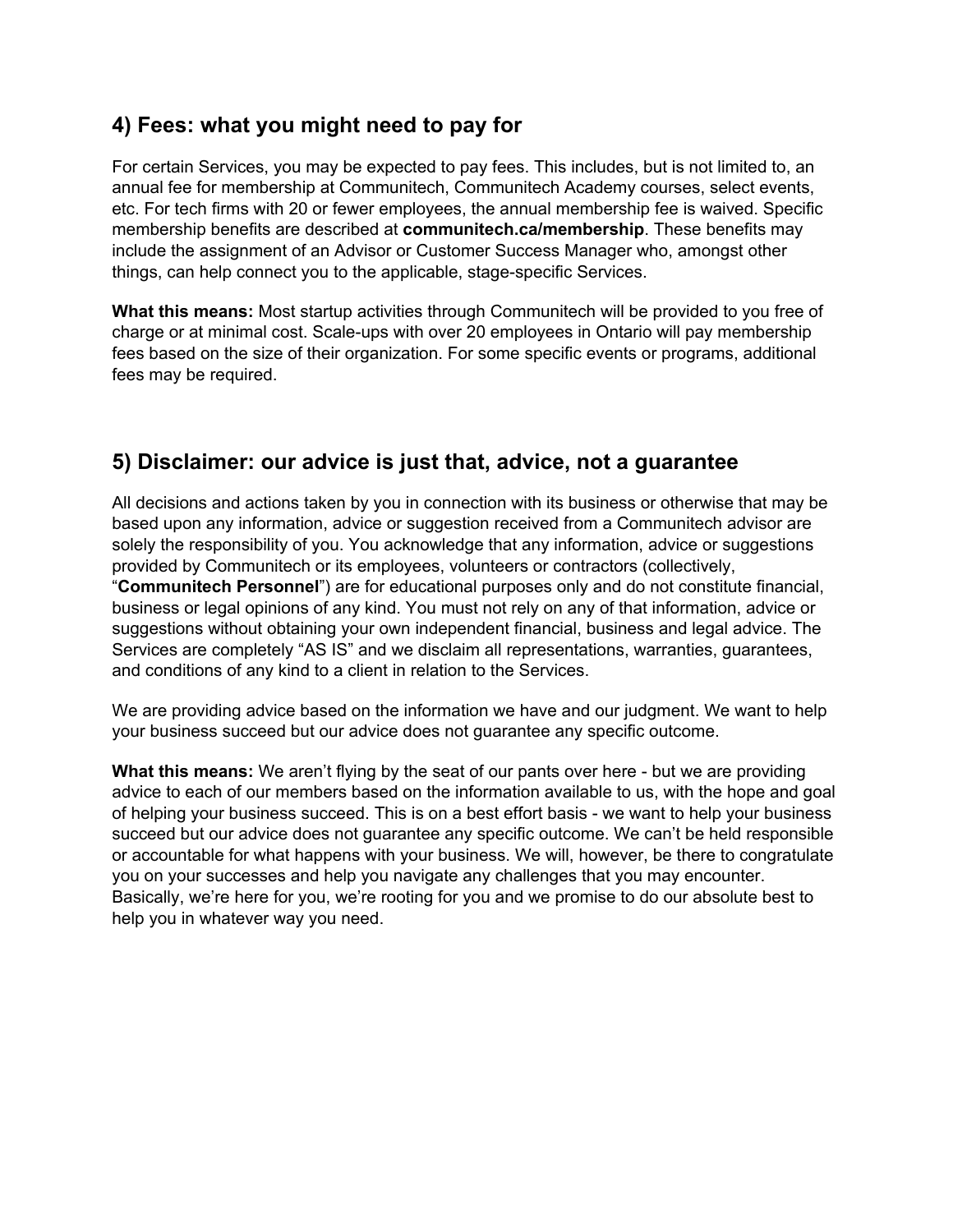## <span id="page-4-0"></span>**4) Fees: what you might need to pay for**

For certain Services, you may be expected to pay fees. This includes, but is not limited to, an annual fee for membership at Communitech, Communitech Academy courses, select events, etc. For tech firms with 20 or fewer employees, the annual membership fee is waived. Specific membership benefits are described at **communitech.ca/membership**. These benefits may include the assignment of an Advisor or Customer Success Manager who, amongst other things, can help connect you to the applicable, stage-specific Services.

**What this means:** Most startup activities through Communitech will be provided to you free of charge or at minimal cost. Scale-ups with over 20 employees in Ontario will pay membership fees based on the size of their organization. For some specific events or programs, additional fees may be required.

## **5) Disclaimer: our advice is just that, advice, not a guarantee**

All decisions and actions taken by you in connection with its business or otherwise that may be based upon any information, advice or suggestion received from a Communitech advisor are solely the responsibility of you. You acknowledge that any information, advice or suggestions provided by Communitech or its employees, volunteers or contractors (collectively, "**Communitech Personnel**") are for educational purposes only and do not constitute financial, business or legal opinions of any kind. You must not rely on any of that information, advice or suggestions without obtaining your own independent financial, business and legal advice. The Services are completely "AS IS" and we disclaim all representations, warranties, guarantees, and conditions of any kind to a client in relation to the Services.

We are providing advice based on the information we have and our judgment. We want to help your business succeed but our advice does not guarantee any specific outcome.

**What this means:** We aren't flying by the seat of our pants over here - but we are providing advice to each of our members based on the information available to us, with the hope and goal of helping your business succeed. This is on a best effort basis - we want to help your business succeed but our advice does not guarantee any specific outcome. We can't be held responsible or accountable for what happens with your business. We will, however, be there to congratulate you on your successes and help you navigate any challenges that you may encounter. Basically, we're here for you, we're rooting for you and we promise to do our absolute best to help you in whatever way you need.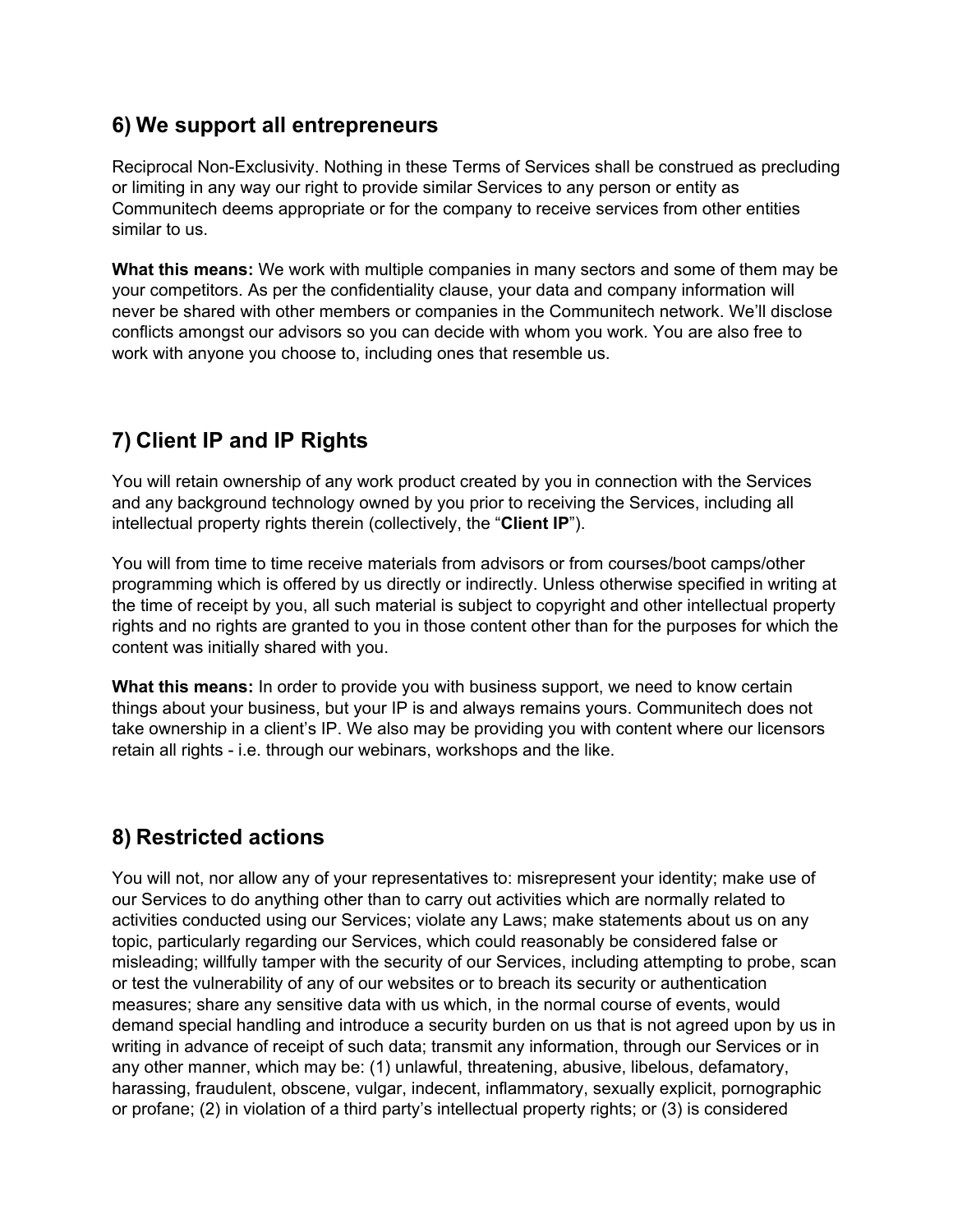## <span id="page-5-0"></span>**6) We support all entrepreneurs**

Reciprocal Non-Exclusivity. Nothing in these Terms of Services shall be construed as precluding or limiting in any way our right to provide similar Services to any person or entity as Communitech deems appropriate or for the company to receive services from other entities similar to us.

**What this means:** We work with multiple companies in many sectors and some of them may be your competitors. As per the confidentiality clause, your data and company information will never be shared with other members or companies in the Communitech network. We'll disclose conflicts amongst our advisors so you can decide with whom you work. You are also free to work with anyone you choose to, including ones that resemble us.

# **7) Client IP and IP Rights**

You will retain ownership of any work product created by you in connection with the Services and any background technology owned by you prior to receiving the Services, including all intellectual property rights therein (collectively, the "**Client IP**").

You will from time to time receive materials from advisors or from courses/boot camps/other programming which is offered by us directly or indirectly. Unless otherwise specified in writing at the time of receipt by you, all such material is subject to copyright and other intellectual property rights and no rights are granted to you in those content other than for the purposes for which the content was initially shared with you.

**What this means:** In order to provide you with business support, we need to know certain things about your business, but your IP is and always remains yours. Communitech does not take ownership in a client's IP. We also may be providing you with content where our licensors retain all rights - i.e. through our webinars, workshops and the like.

# **8) Restricted actions**

You will not, nor allow any of your representatives to: misrepresent your identity; make use of our Services to do anything other than to carry out activities which are normally related to activities conducted using our Services; violate any Laws; make statements about us on any topic, particularly regarding our Services, which could reasonably be considered false or misleading; willfully tamper with the security of our Services, including attempting to probe, scan or test the vulnerability of any of our websites or to breach its security or authentication measures; share any sensitive data with us which, in the normal course of events, would demand special handling and introduce a security burden on us that is not agreed upon by us in writing in advance of receipt of such data; transmit any information, through our Services or in any other manner, which may be: (1) unlawful, threatening, abusive, libelous, defamatory, harassing, fraudulent, obscene, vulgar, indecent, inflammatory, sexually explicit, pornographic or profane; (2) in violation of a third party's intellectual property rights; or (3) is considered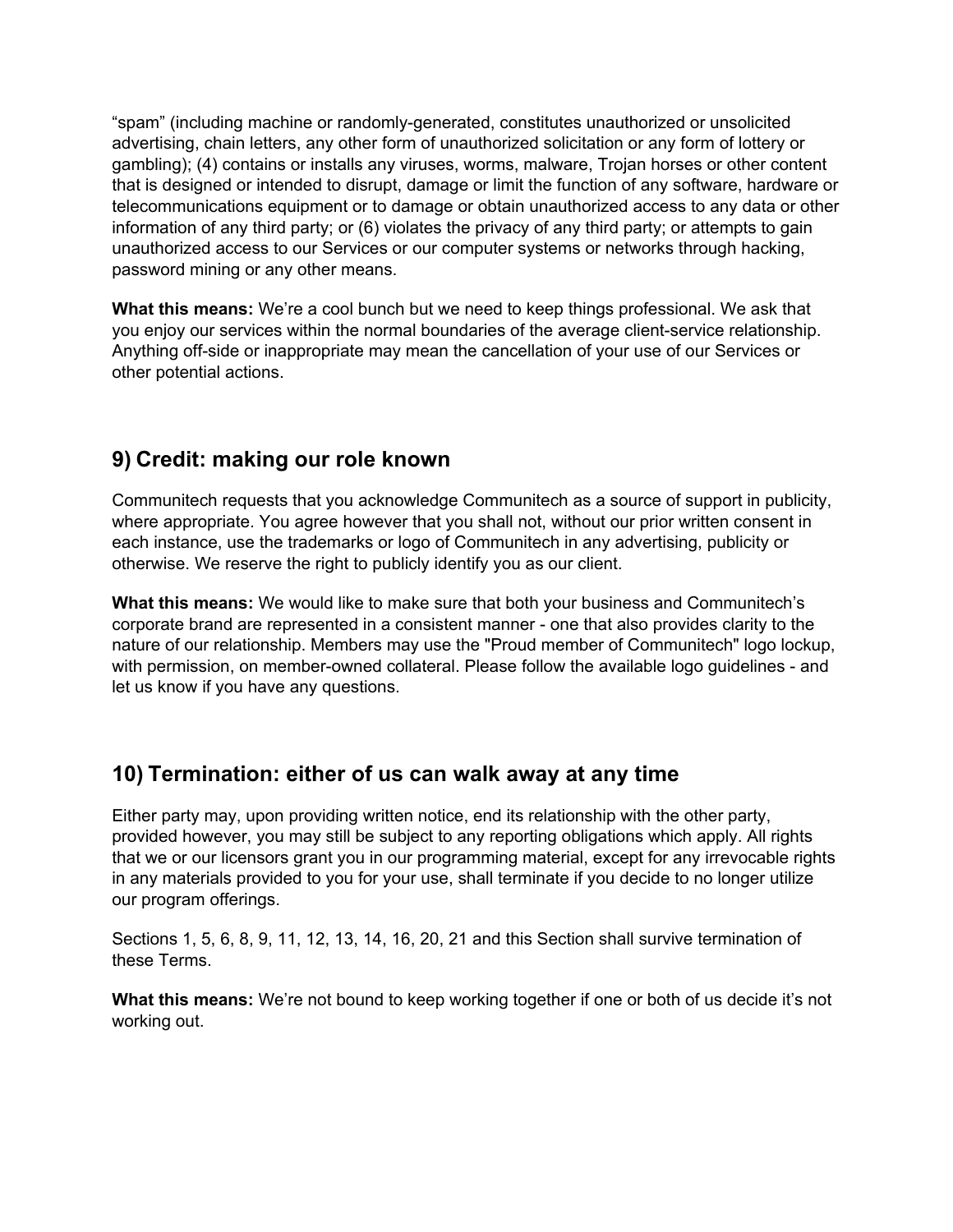<span id="page-6-0"></span>"spam" (including machine or randomly-generated, constitutes unauthorized or unsolicited advertising, chain letters, any other form of unauthorized solicitation or any form of lottery or gambling); (4) contains or installs any viruses, worms, malware, Trojan horses or other content that is designed or intended to disrupt, damage or limit the function of any software, hardware or telecommunications equipment or to damage or obtain unauthorized access to any data or other information of any third party; or (6) violates the privacy of any third party; or attempts to gain unauthorized access to our Services or our computer systems or networks through hacking, password mining or any other means.

**What this means:** We're a cool bunch but we need to keep things professional. We ask that you enjoy our services within the normal boundaries of the average client-service relationship. Anything off-side or inappropriate may mean the cancellation of your use of our Services or other potential actions.

# **9) Credit: making our role known**

Communitech requests that you acknowledge Communitech as a source of support in publicity, where appropriate. You agree however that you shall not, without our prior written consent in each instance, use the trademarks or logo of Communitech in any advertising, publicity or otherwise. We reserve the right to publicly identify you as our client.

**What this means:** We would like to make sure that both your business and Communitech's corporate brand are represented in a consistent manner - one that also provides clarity to the nature of our relationship. Members may use the "Proud member of Communitech" logo lockup, with permission, on member-owned collateral. Please follow the available logo guidelines - and let us know if you have any questions.

## **10) Termination: either of us can walk away at any time**

Either party may, upon providing written notice, end its relationship with the other party, provided however, you may still be subject to any reporting obligations which apply. All rights that we or our licensors grant you in our programming material, except for any irrevocable rights in any materials provided to you for your use, shall terminate if you decide to no longer utilize our program offerings.

Sections 1, 5, 6, 8, 9, 11, 12, 13, 14, 16, 20, 21 and this Section shall survive termination of these Terms.

**What this means:** We're not bound to keep working together if one or both of us decide it's not working out.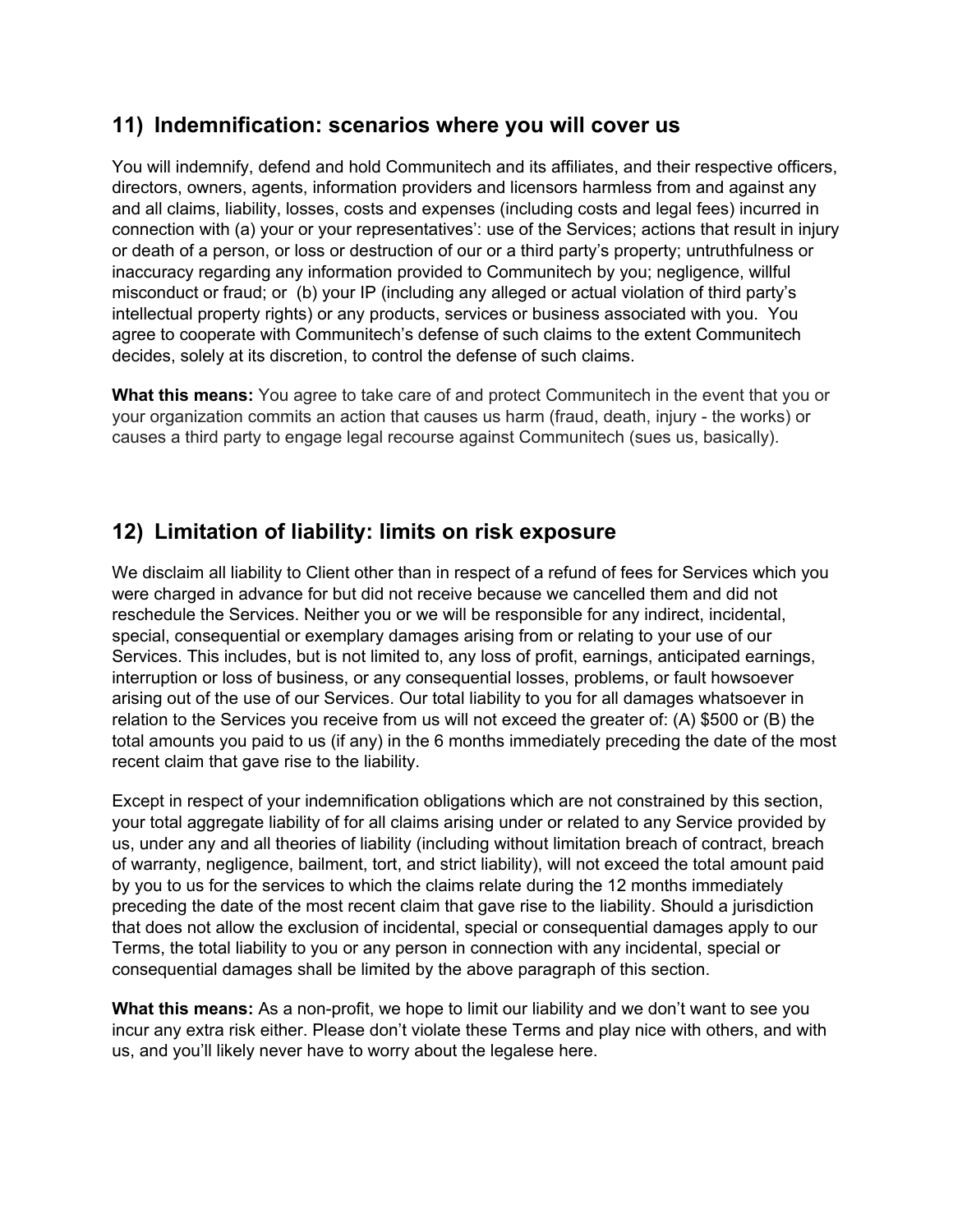#### <span id="page-7-0"></span>**11) Indemnification: scenarios where you will cover us**

You will indemnify, defend and hold Communitech and its affiliates, and their respective officers, directors, owners, agents, information providers and licensors harmless from and against any and all claims, liability, losses, costs and expenses (including costs and legal fees) incurred in connection with (a) your or your representatives': use of the Services; actions that result in injury or death of a person, or loss or destruction of our or a third party's property; untruthfulness or inaccuracy regarding any information provided to Communitech by you; negligence, willful misconduct or fraud; or (b) your IP (including any alleged or actual violation of third party's intellectual property rights) or any products, services or business associated with you. You agree to cooperate with Communitech's defense of such claims to the extent Communitech decides, solely at its discretion, to control the defense of such claims.

**What this means:** You agree to take care of and protect Communitech in the event that you or your organization commits an action that causes us harm (fraud, death, injury - the works) or causes a third party to engage legal recourse against Communitech (sues us, basically).

## **12) Limitation of liability: limits on risk exposure**

We disclaim all liability to Client other than in respect of a refund of fees for Services which you were charged in advance for but did not receive because we cancelled them and did not reschedule the Services. Neither you or we will be responsible for any indirect, incidental, special, consequential or exemplary damages arising from or relating to your use of our Services. This includes, but is not limited to, any loss of profit, earnings, anticipated earnings, interruption or loss of business, or any consequential losses, problems, or fault howsoever arising out of the use of our Services. Our total liability to you for all damages whatsoever in relation to the Services you receive from us will not exceed the greater of: (A) \$500 or (B) the total amounts you paid to us (if any) in the 6 months immediately preceding the date of the most recent claim that gave rise to the liability.

Except in respect of your indemnification obligations which are not constrained by this section, your total aggregate liability of for all claims arising under or related to any Service provided by us, under any and all theories of liability (including without limitation breach of contract, breach of warranty, negligence, bailment, tort, and strict liability), will not exceed the total amount paid by you to us for the services to which the claims relate during the 12 months immediately preceding the date of the most recent claim that gave rise to the liability. Should a jurisdiction that does not allow the exclusion of incidental, special or consequential damages apply to our Terms, the total liability to you or any person in connection with any incidental, special or consequential damages shall be limited by the above paragraph of this section.

**What this means:** As a non-profit, we hope to limit our liability and we don't want to see you incur any extra risk either. Please don't violate these Terms and play nice with others, and with us, and you'll likely never have to worry about the legalese here.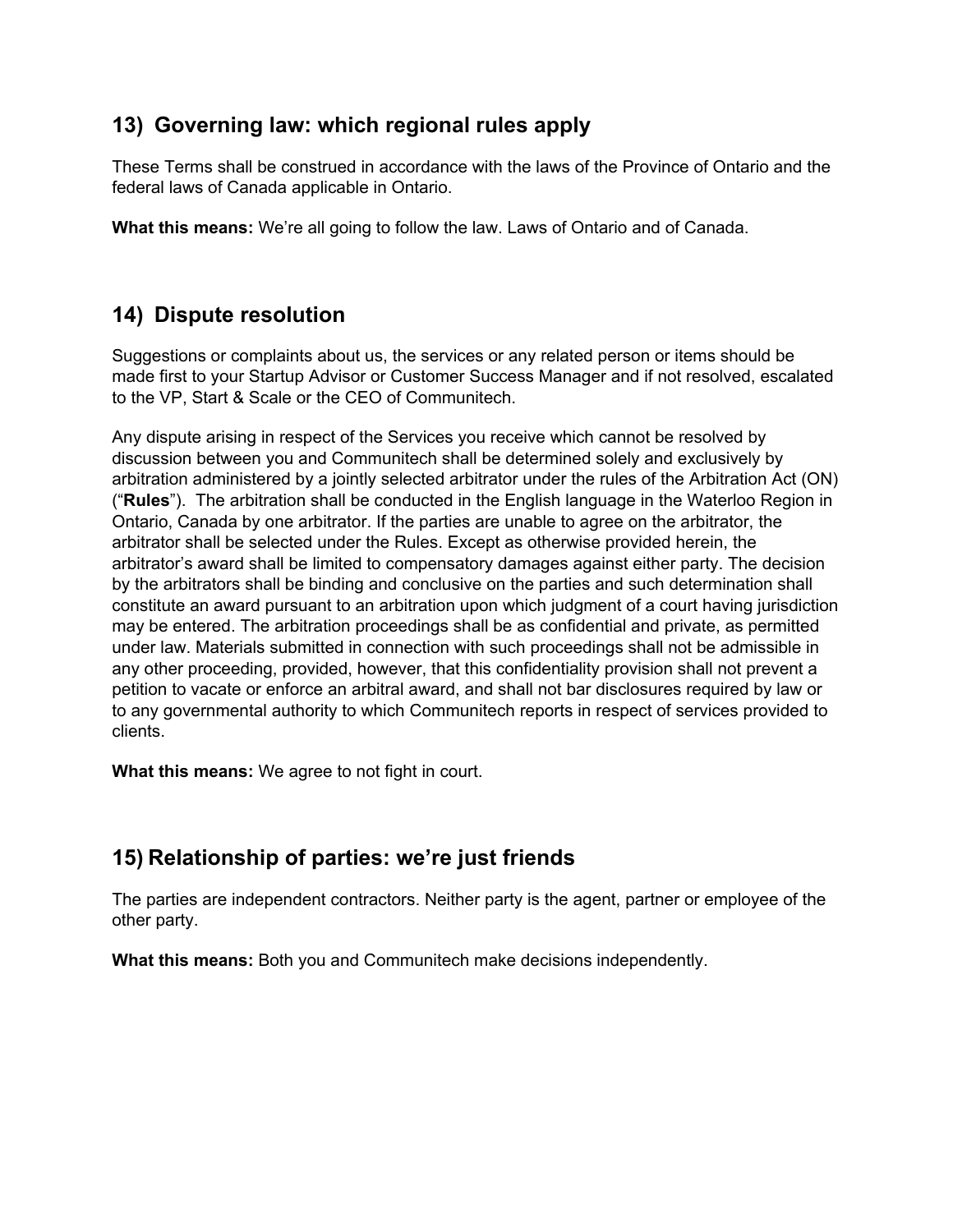## <span id="page-8-0"></span>**13) Governing law: which regional rules apply**

These Terms shall be construed in accordance with the laws of the Province of Ontario and the federal laws of Canada applicable in Ontario.

**What this means:** We're all going to follow the law. Laws of Ontario and of Canada.

# **14) Dispute resolution**

Suggestions or complaints about us, the services or any related person or items should be made first to your Startup Advisor or Customer Success Manager and if not resolved, escalated to the VP, Start & Scale or the CEO of Communitech.

Any dispute arising in respect of the Services you receive which cannot be resolved by discussion between you and Communitech shall be determined solely and exclusively by arbitration administered by a jointly selected arbitrator under the rules of the Arbitration Act (ON) ("**Rules**"). The arbitration shall be conducted in the English language in the Waterloo Region in Ontario, Canada by one arbitrator. If the parties are unable to agree on the arbitrator, the arbitrator shall be selected under the Rules. Except as otherwise provided herein, the arbitrator's award shall be limited to compensatory damages against either party. The decision by the arbitrators shall be binding and conclusive on the parties and such determination shall constitute an award pursuant to an arbitration upon which judgment of a court having jurisdiction may be entered. The arbitration proceedings shall be as confidential and private, as permitted under law. Materials submitted in connection with such proceedings shall not be admissible in any other proceeding, provided, however, that this confidentiality provision shall not prevent a petition to vacate or enforce an arbitral award, and shall not bar disclosures required by law or to any governmental authority to which Communitech reports in respect of services provided to clients.

**What this means:** We agree to not fight in court.

# **15) Relationship of parties: we're just friends**

The parties are independent contractors. Neither party is the agent, partner or employee of the other party.

**What this means:** Both you and Communitech make decisions independently.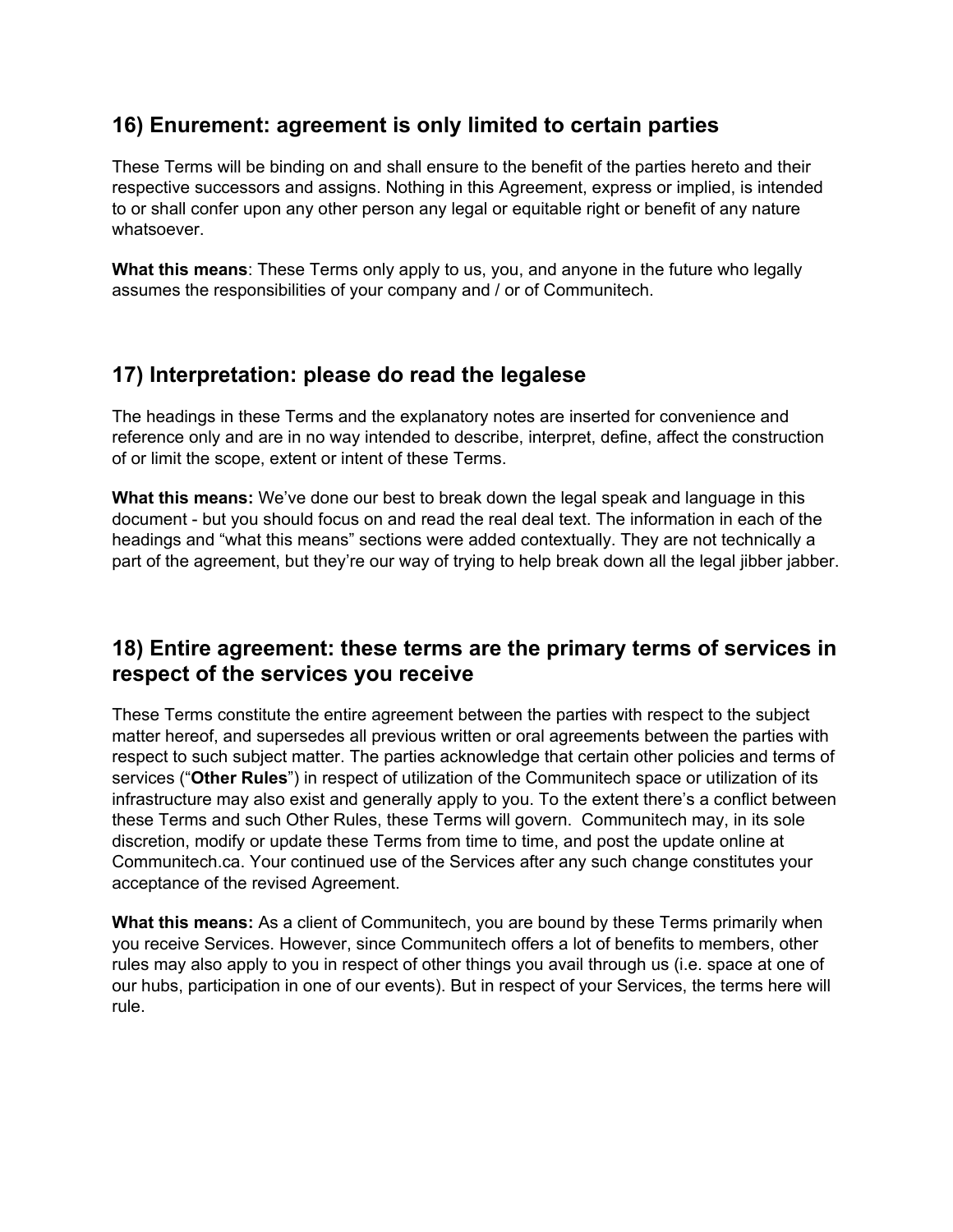#### <span id="page-9-0"></span>**16) Enurement: agreement is only limited to certain parties**

These Terms will be binding on and shall ensure to the benefit of the parties hereto and their respective successors and assigns. Nothing in this Agreement, express or implied, is intended to or shall confer upon any other person any legal or equitable right or benefit of any nature whatsoever.

**What this means**: These Terms only apply to us, you, and anyone in the future who legally assumes the responsibilities of your company and / or of Communitech.

## **17) Interpretation: please do read the legalese**

The headings in these Terms and the explanatory notes are inserted for convenience and reference only and are in no way intended to describe, interpret, define, affect the construction of or limit the scope, extent or intent of these Terms.

**What this means:** We've done our best to break down the legal speak and language in this document - but you should focus on and read the real deal text. The information in each of the headings and "what this means" sections were added contextually. They are not technically a part of the agreement, but they're our way of trying to help break down all the legal jibber jabber.

## **18) Entire agreement: these terms are the primary terms of services in respect of the services you receive**

These Terms constitute the entire agreement between the parties with respect to the subject matter hereof, and supersedes all previous written or oral agreements between the parties with respect to such subject matter. The parties acknowledge that certain other policies and terms of services ("**Other Rules**") in respect of utilization of the Communitech space or utilization of its infrastructure may also exist and generally apply to you. To the extent there's a conflict between these Terms and such Other Rules, these Terms will govern. Communitech may, in its sole discretion, modify or update these Terms from time to time, and post the update online at Communitech.ca. Your continued use of the Services after any such change constitutes your acceptance of the revised Agreement.

**What this means:** As a client of Communitech, you are bound by these Terms primarily when you receive Services. However, since Communitech offers a lot of benefits to members, other rules may also apply to you in respect of other things you avail through us (i.e. space at one of our hubs, participation in one of our events). But in respect of your Services, the terms here will rule.